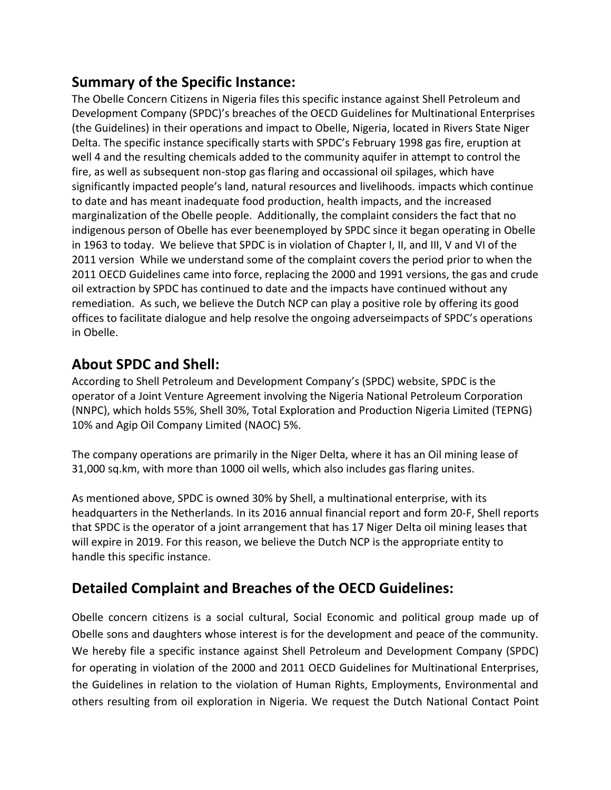## **Summary of the Specific Instance:**

The Obelle Concern Citizens in Nigeria files this specific instance against Shell Petroleum and Development Company (SPDC)'s breaches of the OECD Guidelines for Multinational Enterprises (the Guidelines) in their operations and impact to Obelle, Nigeria, located in Rivers State Niger Delta. The specific instance specifically starts with SPDC's February 1998 gas fire, eruption at well 4 and the resulting chemicals added to the community aquifer in attempt to control the fire, as well as subsequent non-stop gas flaring and occassional oil spilages, which have significantly impacted people's land, natural resources and livelihoods. impacts which continue to date and has meant inadequate food production, health impacts, and the increased marginalization of the Obelle people. Additionally, the complaint considers the fact that no indigenous person of Obelle has ever beenemployed by SPDC since it began operating in Obelle in 1963 to today. We believe that SPDC is in violation of Chapter I, II, and III, V and VI of the 2011 version While we understand some of the complaint covers the period prior to when the 2011 OECD Guidelines came into force, replacing the 2000 and 1991 versions, the gas and crude oil extraction by SPDC has continued to date and the impacts have continued without any remediation. As such, we believe the Dutch NCP can play a positive role by offering its good offices to facilitate dialogue and help resolve the ongoing adverseimpacts of SPDC's operations in Obelle.

## **About SPDC and Shell:**

According to Shell Petroleum and Development Company's (SPDC) website, SPDC is the operator of a Joint Venture Agreement involving the Nigeria National Petroleum Corporation (NNPC), which holds 55%, Shell 30%, Total Exploration and Production Nigeria Limited (TEPNG) 10% and Agip Oil Company Limited (NAOC) 5%.

The company operations are primarily in the Niger Delta, where it has an Oil mining lease of 31,000 sq.km, with more than 1000 oil wells, which also includes gas flaring unites.

As mentioned above, SPDC is owned 30% by Shell, a multinational enterprise, with its headquarters in the Netherlands. In its 2016 annual financial report and form 20-F, Shell reports that SPDC is the operator of a joint arrangement that has 17 Niger Delta oil mining leases that will expire in 2019. For this reason, we believe the Dutch NCP is the appropriate entity to handle this specific instance.

# **Detailed Complaint and Breaches of the OECD Guidelines:**

Obelle concern citizens is a social cultural, Social Economic and political group made up of Obelle sons and daughters whose interest is for the development and peace of the community. We hereby file a specific instance against Shell Petroleum and Development Company (SPDC) for operating in violation of the 2000 and 2011 OECD Guidelines for Multinational Enterprises, the Guidelines in relation to the violation of Human Rights, Employments, Environmental and others resulting from oil exploration in Nigeria. We request the Dutch National Contact Point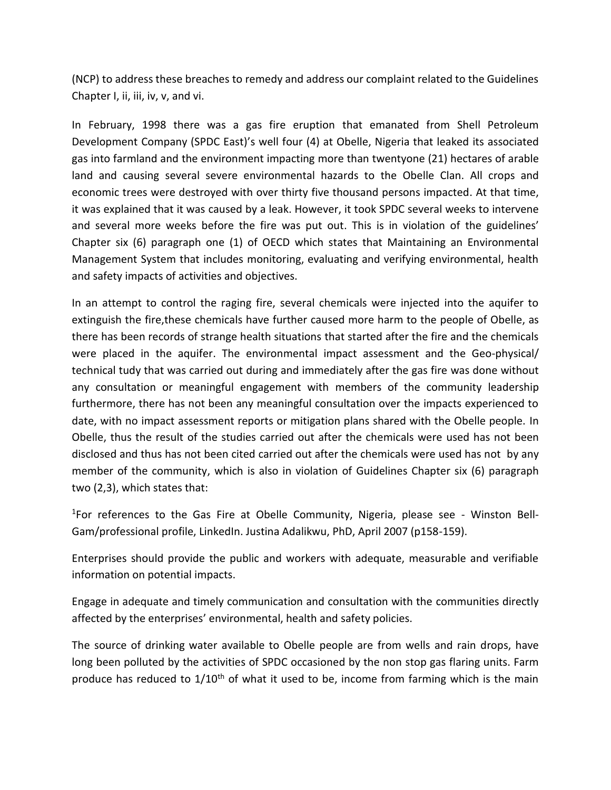(NCP) to address these breaches to remedy and address our complaint related to the Guidelines Chapter I, ii, iii, iv, v, and vi.

In February, 1998 there was a gas fire eruption that emanated from Shell Petroleum Development Company (SPDC East)'s well four (4) at Obelle, Nigeria that leaked its associated gas into farmland and the environment impacting more than twentyone (21) hectares of arable land and causing several severe environmental hazards to the Obelle Clan. All crops and economic trees were destroyed with over thirty five thousand persons impacted. At that time, it was explained that it was caused by a leak. However, it took SPDC several weeks to intervene and several more weeks before the fire was put out. This is in violation of the guidelines' Chapter six (6) paragraph one (1) of OECD which states that Maintaining an Environmental Management System that includes monitoring, evaluating and verifying environmental, health and safety impacts of activities and objectives.

In an attempt to control the raging fire, several chemicals were injected into the aquifer to extinguish the fire,these chemicals have further caused more harm to the people of Obelle, as there has been records of strange health situations that started after the fire and the chemicals were placed in the aquifer. The environmental impact assessment and the Geo-physical/ technical tudy that was carried out during and immediately after the gas fire was done without any consultation or meaningful engagement with members of the community leadership furthermore, there has not been any meaningful consultation over the impacts experienced to date, with no impact assessment reports or mitigation plans shared with the Obelle people. In Obelle, thus the result of the studies carried out after the chemicals were used has not been disclosed and thus has not been cited carried out after the chemicals were used has not by any member of the community, which is also in violation of Guidelines Chapter six (6) paragraph two (2,3), which states that:

<sup>1</sup>For references to the Gas Fire at Obelle Community, Nigeria, please see - Winston Bell-Gam/professional profile, LinkedIn. Justina Adalikwu, PhD, April 2007 (p158-159).

Enterprises should provide the public and workers with adequate, measurable and verifiable information on potential impacts.

Engage in adequate and timely communication and consultation with the communities directly affected by the enterprises' environmental, health and safety policies.

The source of drinking water available to Obelle people are from wells and rain drops, have long been polluted by the activities of SPDC occasioned by the non stop gas flaring units. Farm produce has reduced to  $1/10<sup>th</sup>$  of what it used to be, income from farming which is the main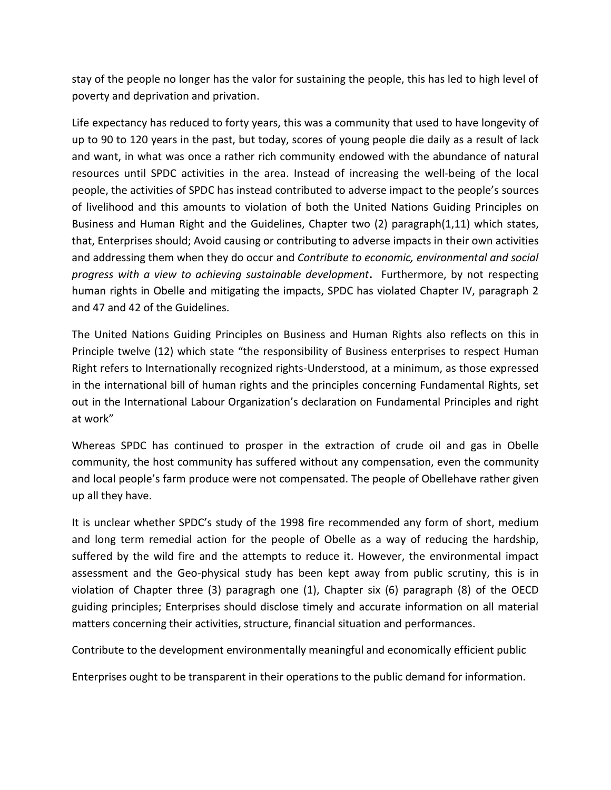stay of the people no longer has the valor for sustaining the people, this has led to high level of poverty and deprivation and privation.

Life expectancy has reduced to forty years, this was a community that used to have longevity of up to 90 to 120 years in the past, but today, scores of young people die daily as a result of lack and want, in what was once a rather rich community endowed with the abundance of natural resources until SPDC activities in the area. Instead of increasing the well-being of the local people, the activities of SPDC has instead contributed to adverse impact to the people's sources of livelihood and this amounts to violation of both the United Nations Guiding Principles on Business and Human Right and the Guidelines, Chapter two (2) paragraph(1,11) which states, that, Enterprises should; Avoid causing or contributing to adverse impacts in their own activities and addressing them when they do occur and *Contribute to economic, environmental and social progress with a view to achieving sustainable development***.** Furthermore, by not respecting human rights in Obelle and mitigating the impacts, SPDC has violated Chapter IV, paragraph 2 and 47 and 42 of the Guidelines.

The United Nations Guiding Principles on Business and Human Rights also reflects on this in Principle twelve (12) which state "the responsibility of Business enterprises to respect Human Right refers to Internationally recognized rights-Understood, at a minimum, as those expressed in the international bill of human rights and the principles concerning Fundamental Rights, set out in the International Labour Organization's declaration on Fundamental Principles and right at work"

Whereas SPDC has continued to prosper in the extraction of crude oil and gas in Obelle community, the host community has suffered without any compensation, even the community and local people's farm produce were not compensated. The people of Obellehave rather given up all they have.

It is unclear whether SPDC's study of the 1998 fire recommended any form of short, medium and long term remedial action for the people of Obelle as a way of reducing the hardship, suffered by the wild fire and the attempts to reduce it. However, the environmental impact assessment and the Geo-physical study has been kept away from public scrutiny, this is in violation of Chapter three (3) paragragh one (1), Chapter six (6) paragraph (8) of the OECD guiding principles; Enterprises should disclose timely and accurate information on all material matters concerning their activities, structure, financial situation and performances.

Contribute to the development environmentally meaningful and economically efficient public

Enterprises ought to be transparent in their operations to the public demand for information.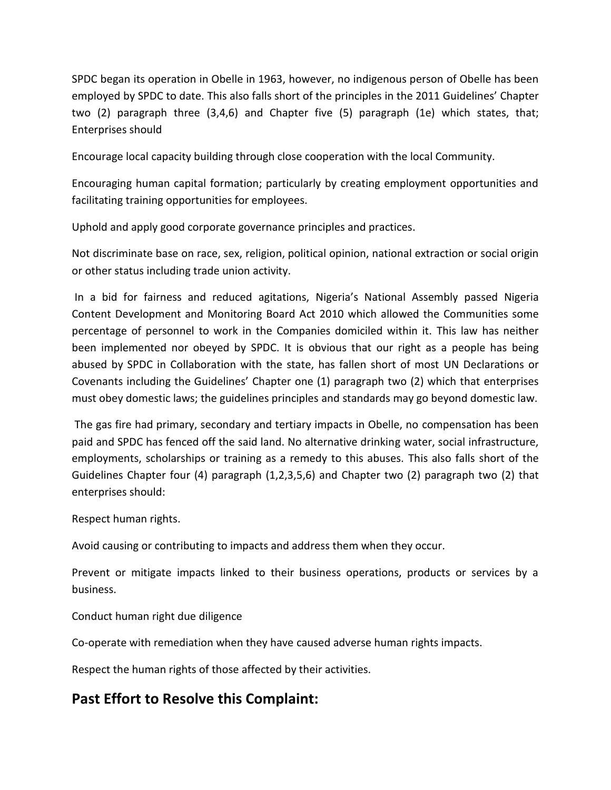SPDC began its operation in Obelle in 1963, however, no indigenous person of Obelle has been employed by SPDC to date. This also falls short of the principles in the 2011 Guidelines' Chapter two (2) paragraph three (3,4,6) and Chapter five (5) paragraph (1e) which states, that; Enterprises should

Encourage local capacity building through close cooperation with the local Community.

Encouraging human capital formation; particularly by creating employment opportunities and facilitating training opportunities for employees.

Uphold and apply good corporate governance principles and practices.

Not discriminate base on race, sex, religion, political opinion, national extraction or social origin or other status including trade union activity.

In a bid for fairness and reduced agitations, Nigeria's National Assembly passed Nigeria Content Development and Monitoring Board Act 2010 which allowed the Communities some percentage of personnel to work in the Companies domiciled within it. This law has neither been implemented nor obeyed by SPDC. It is obvious that our right as a people has being abused by SPDC in Collaboration with the state, has fallen short of most UN Declarations or Covenants including the Guidelines' Chapter one (1) paragraph two (2) which that enterprises must obey domestic laws; the guidelines principles and standards may go beyond domestic law.

The gas fire had primary, secondary and tertiary impacts in Obelle, no compensation has been paid and SPDC has fenced off the said land. No alternative drinking water, social infrastructure, employments, scholarships or training as a remedy to this abuses. This also falls short of the Guidelines Chapter four (4) paragraph (1,2,3,5,6) and Chapter two (2) paragraph two (2) that enterprises should:

Respect human rights.

Avoid causing or contributing to impacts and address them when they occur.

Prevent or mitigate impacts linked to their business operations, products or services by a business.

Conduct human right due diligence

Co-operate with remediation when they have caused adverse human rights impacts.

Respect the human rights of those affected by their activities.

## **Past Effort to Resolve this Complaint:**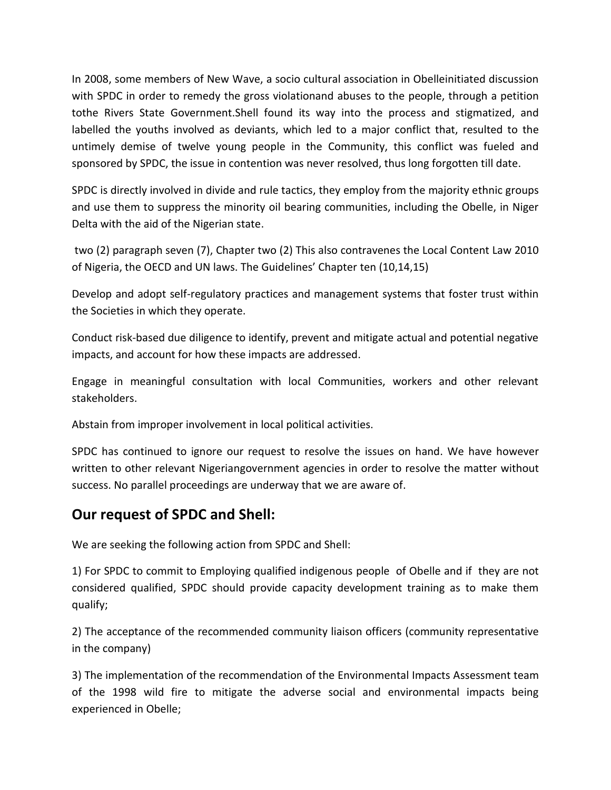In 2008, some members of New Wave, a socio cultural association in Obelleinitiated discussion with SPDC in order to remedy the gross violationand abuses to the people, through a petition tothe Rivers State Government.Shell found its way into the process and stigmatized, and labelled the youths involved as deviants, which led to a major conflict that, resulted to the untimely demise of twelve young people in the Community, this conflict was fueled and sponsored by SPDC, the issue in contention was never resolved, thus long forgotten till date.

SPDC is directly involved in divide and rule tactics, they employ from the majority ethnic groups and use them to suppress the minority oil bearing communities, including the Obelle, in Niger Delta with the aid of the Nigerian state.

two (2) paragraph seven (7), Chapter two (2) This also contravenes the Local Content Law 2010 of Nigeria, the OECD and UN laws. The Guidelines' Chapter ten (10,14,15)

Develop and adopt self-regulatory practices and management systems that foster trust within the Societies in which they operate.

Conduct risk-based due diligence to identify, prevent and mitigate actual and potential negative impacts, and account for how these impacts are addressed.

Engage in meaningful consultation with local Communities, workers and other relevant stakeholders.

Abstain from improper involvement in local political activities.

SPDC has continued to ignore our request to resolve the issues on hand. We have however written to other relevant Nigeriangovernment agencies in order to resolve the matter without success. No parallel proceedings are underway that we are aware of.

#### **Our request of SPDC and Shell:**

We are seeking the following action from SPDC and Shell:

1) For SPDC to commit to Employing qualified indigenous people of Obelle and if they are not considered qualified, SPDC should provide capacity development training as to make them qualify;

2) The acceptance of the recommended community liaison officers (community representative in the company)

3) The implementation of the recommendation of the Environmental Impacts Assessment team of the 1998 wild fire to mitigate the adverse social and environmental impacts being experienced in Obelle;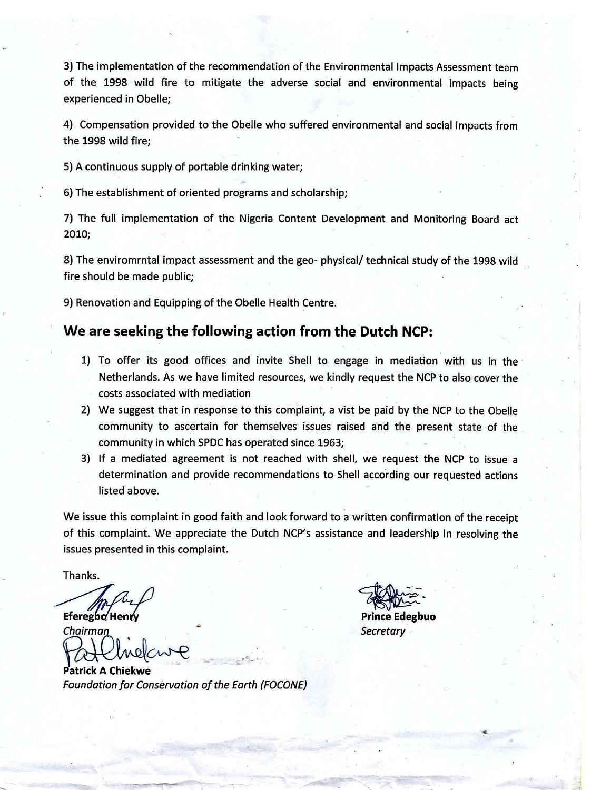3) The implementation of the recommendation of the Environmental Impacts Assessment team of the 1998 wild fire to mitigate the adverse social and environmental impacts being experienced in Obelle;

4) Compensation provided to the Obelle who suffered environmental and social impacts from the 1998 wild fire:

5) A continuous supply of portable drinking water;

6) The establishment of oriented programs and scholarship;

7) The full implementation of the Nigeria Content Development and Monitoring Board act  $2010;$ 

8) The enviromrntal impact assessment and the geo-physical/ technical study of the 1998 wild fire should be made public;

9) Renovation and Equipping of the Obelle Health Centre.

#### We are seeking the following action from the Dutch NCP:

- 1) To offer its good offices and invite Shell to engage in mediation with us in the Netherlands. As we have limited resources, we kindly request the NCP to also cover the costs associated with mediation
- 2) We suggest that in response to this complaint, a vist be paid by the NCP to the Obelle community to ascertain for themselves issues raised and the present state of the community in which SPDC has operated since 1963;
- 3) If a mediated agreement is not reached with shell, we request the NCP to issue a determination and provide recommendations to Shell according our requested actions listed above.

We issue this complaint in good faith and look forward to a written confirmation of the receipt of this complaint. We appreciate the Dutch NCP's assistance and leadership in resolving the issues presented in this complaint.

Thanks.

Eferegbo Henry

Chairman

Patrick A Chiekwe **Foundation for Conservation of the Earth (FOCONE)** 

**Prince Edegbuo** Secretary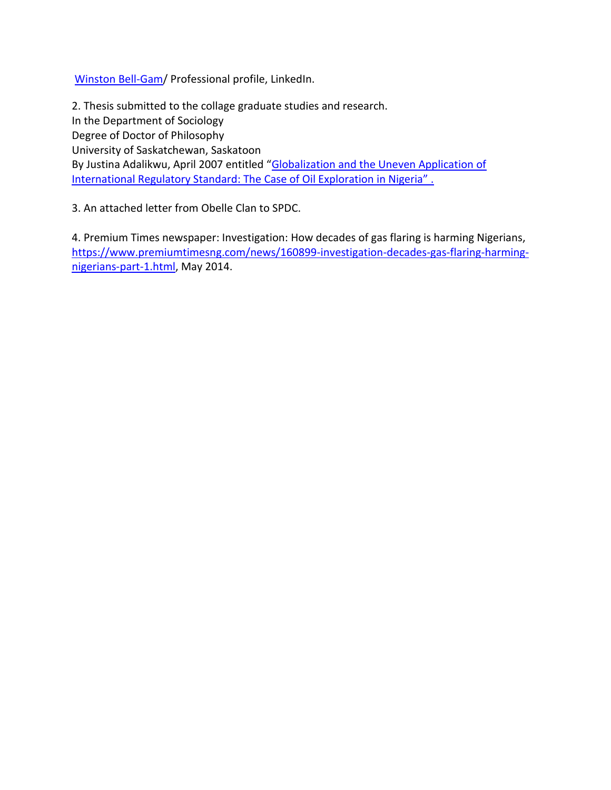[Winston Bell-Gam/](https://www.linkedin.com/in/winston-bell-gam-ba1690a6/) Professional profile, LinkedIn.

2. Thesis submitted to the collage graduate studies and research. In the Department of Sociology Degree of Doctor of Philosophy University of Saskatchewan, Saskatoon By Justina Adalikwu, April 2007 entitled "[Globalization and the Uneven Application of](https://ecommons.usask.ca/handle/10388/etd-04262007-172805)  International Regulatory Standard: The Case of Oil Exploration in Nigeria".

3. An attached letter from Obelle Clan to SPDC.

4. Premium Times newspaper: Investigation: How decades of gas flaring is harming Nigerians, [https://www.premiumtimesng.com/news/160899-investigation-decades-gas-flaring-harming](https://www.premiumtimesng.com/news/160899-investigation-decades-gas-flaring-harming-nigerians-part-1.html)[nigerians-part-1.html,](https://www.premiumtimesng.com/news/160899-investigation-decades-gas-flaring-harming-nigerians-part-1.html) May 2014.